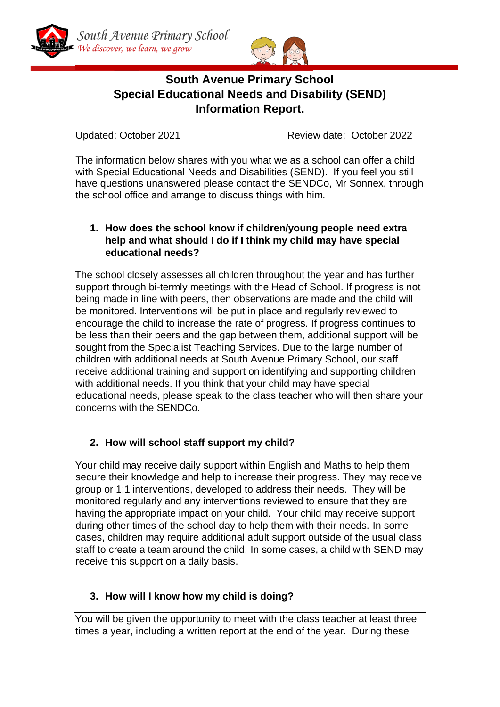



# **South Avenue Primary School Special Educational Needs and Disability (SEND) Information Report.**

Updated: October 2021 Review date: October 2022

The information below shares with you what we as a school can offer a child with Special Educational Needs and Disabilities (SEND). If you feel you still have questions unanswered please contact the SENDCo, Mr Sonnex, through the school office and arrange to discuss things with him.

## **1. How does the school know if children/young people need extra help and what should I do if I think my child may have special educational needs?**

The school closely assesses all children throughout the year and has further support through bi-termly meetings with the Head of School. If progress is not being made in line with peers, then observations are made and the child will be monitored. Interventions will be put in place and regularly reviewed to encourage the child to increase the rate of progress. If progress continues to be less than their peers and the gap between them, additional support will be sought from the Specialist Teaching Services. Due to the large number of children with additional needs at South Avenue Primary School, our staff receive additional training and support on identifying and supporting children with additional needs. If you think that your child may have special educational needs, please speak to the class teacher who will then share your concerns with the SENDCo.

# **2. How will school staff support my child?**

Your child may receive daily support within English and Maths to help them secure their knowledge and help to increase their progress. They may receive group or 1:1 interventions, developed to address their needs. They will be monitored regularly and any interventions reviewed to ensure that they are having the appropriate impact on your child. Your child may receive support during other times of the school day to help them with their needs. In some cases, children may require additional adult support outside of the usual class staff to create a team around the child. In some cases, a child with SEND may receive this support on a daily basis.

## **3. How will I know how my child is doing?**

You will be given the opportunity to meet with the class teacher at least three times a year, including a written report at the end of the year. During these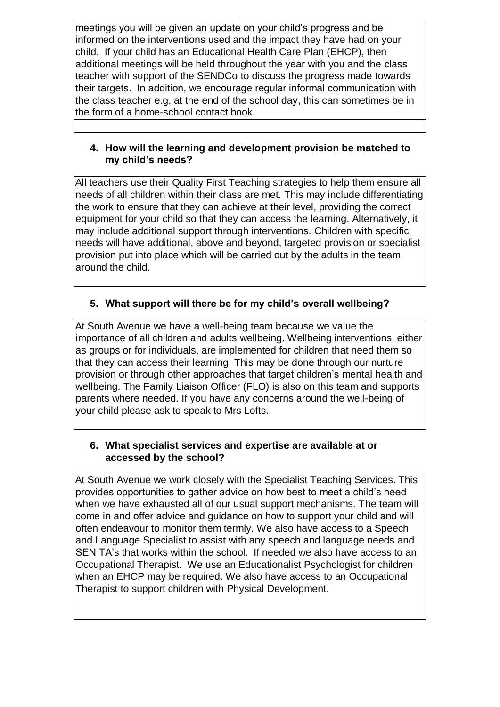meetings you will be given an update on your child's progress and be informed on the interventions used and the impact they have had on your child. If your child has an Educational Health Care Plan (EHCP), then additional meetings will be held throughout the year with you and the class teacher with support of the SENDCo to discuss the progress made towards their targets. In addition, we encourage regular informal communication with the class teacher e.g. at the end of the school day, this can sometimes be in the form of a home-school contact book.

#### **4. How will the learning and development provision be matched to my child's needs?**

All teachers use their Quality First Teaching strategies to help them ensure all needs of all children within their class are met. This may include differentiating the work to ensure that they can achieve at their level, providing the correct equipment for your child so that they can access the learning. Alternatively, it may include additional support through interventions. Children with specific needs will have additional, above and beyond, targeted provision or specialist provision put into place which will be carried out by the adults in the team around the child.

# **5. What support will there be for my child's overall wellbeing?**

At South Avenue we have a well-being team because we value the importance of all children and adults wellbeing. Wellbeing interventions, either as groups or for individuals, are implemented for children that need them so that they can access their learning. This may be done through our nurture provision or through other approaches that target children's mental health and wellbeing. The Family Liaison Officer (FLO) is also on this team and supports parents where needed. If you have any concerns around the well-being of your child please ask to speak to Mrs Lofts.

#### **6. What specialist services and expertise are available at or accessed by the school?**

At South Avenue we work closely with the Specialist Teaching Services. This provides opportunities to gather advice on how best to meet a child's need when we have exhausted all of our usual support mechanisms. The team will come in and offer advice and guidance on how to support your child and will often endeavour to monitor them termly. We also have access to a Speech and Language Specialist to assist with any speech and language needs and SEN TA's that works within the school. If needed we also have access to an Occupational Therapist. We use an Educationalist Psychologist for children when an EHCP may be required. We also have access to an Occupational Therapist to support children with Physical Development.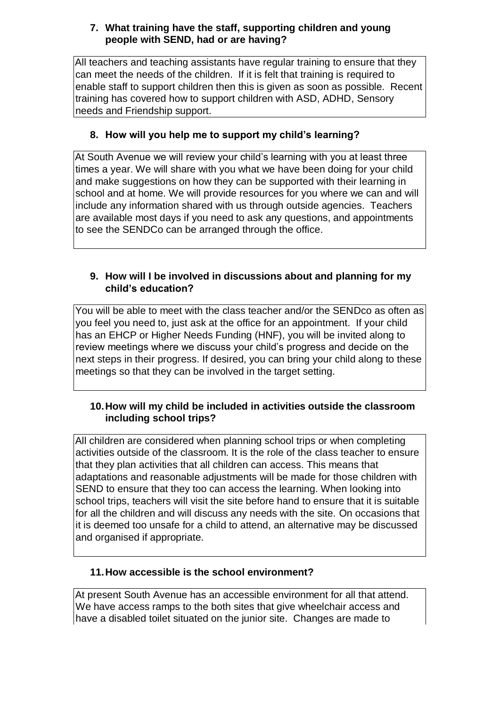## **7. What training have the staff, supporting children and young people with SEND, had or are having?**

All teachers and teaching assistants have regular training to ensure that they can meet the needs of the children. If it is felt that training is required to enable staff to support children then this is given as soon as possible. Recent training has covered how to support children with ASD, ADHD, Sensory needs and Friendship support.

## **8. How will you help me to support my child's learning?**

At South Avenue we will review your child's learning with you at least three times a year. We will share with you what we have been doing for your child and make suggestions on how they can be supported with their learning in school and at home. We will provide resources for you where we can and will include any information shared with us through outside agencies. Teachers are available most days if you need to ask any questions, and appointments to see the SENDCo can be arranged through the office.

## **9. How will I be involved in discussions about and planning for my child's education?**

You will be able to meet with the class teacher and/or the SENDco as often as you feel you need to, just ask at the office for an appointment. If your child has an EHCP or Higher Needs Funding (HNF), you will be invited along to review meetings where we discuss your child's progress and decide on the next steps in their progress. If desired, you can bring your child along to these meetings so that they can be involved in the target setting.

## **10.How will my child be included in activities outside the classroom including school trips?**

All children are considered when planning school trips or when completing activities outside of the classroom. It is the role of the class teacher to ensure that they plan activities that all children can access. This means that adaptations and reasonable adjustments will be made for those children with SEND to ensure that they too can access the learning. When looking into school trips, teachers will visit the site before hand to ensure that it is suitable for all the children and will discuss any needs with the site. On occasions that it is deemed too unsafe for a child to attend, an alternative may be discussed and organised if appropriate.

# **11.How accessible is the school environment?**

At present South Avenue has an accessible environment for all that attend. We have access ramps to the both sites that give wheelchair access and have a disabled toilet situated on the junior site. Changes are made to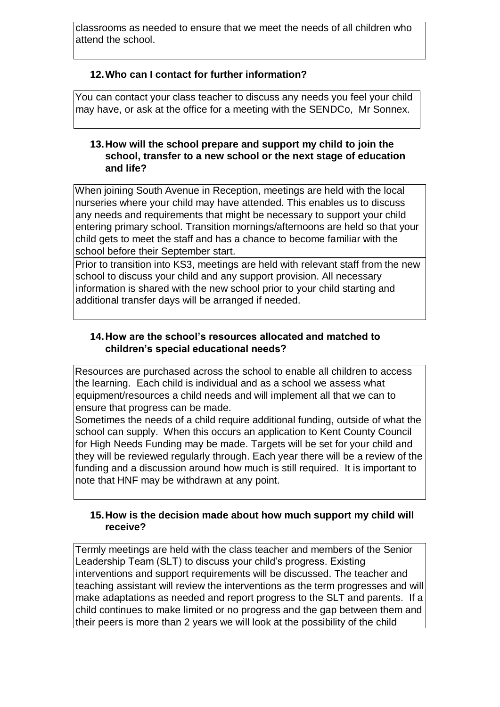classrooms as needed to ensure that we meet the needs of all children who attend the school.

## **12.Who can I contact for further information?**

You can contact your class teacher to discuss any needs you feel your child may have, or ask at the office for a meeting with the SENDCo, Mr Sonnex.

#### **13.How will the school prepare and support my child to join the school, transfer to a new school or the next stage of education and life?**

When joining South Avenue in Reception, meetings are held with the local nurseries where your child may have attended. This enables us to discuss any needs and requirements that might be necessary to support your child entering primary school. Transition mornings/afternoons are held so that your child gets to meet the staff and has a chance to become familiar with the school before their September start.

Prior to transition into KS3, meetings are held with relevant staff from the new school to discuss your child and any support provision. All necessary information is shared with the new school prior to your child starting and additional transfer days will be arranged if needed.

## **14.How are the school's resources allocated and matched to children's special educational needs?**

Resources are purchased across the school to enable all children to access the learning. Each child is individual and as a school we assess what equipment/resources a child needs and will implement all that we can to ensure that progress can be made.

Sometimes the needs of a child require additional funding, outside of what the school can supply. When this occurs an application to Kent County Council for High Needs Funding may be made. Targets will be set for your child and they will be reviewed regularly through. Each year there will be a review of the funding and a discussion around how much is still required. It is important to note that HNF may be withdrawn at any point.

#### **15.How is the decision made about how much support my child will receive?**

Termly meetings are held with the class teacher and members of the Senior Leadership Team (SLT) to discuss your child's progress. Existing interventions and support requirements will be discussed. The teacher and teaching assistant will review the interventions as the term progresses and will make adaptations as needed and report progress to the SLT and parents. If a child continues to make limited or no progress and the gap between them and their peers is more than 2 years we will look at the possibility of the child